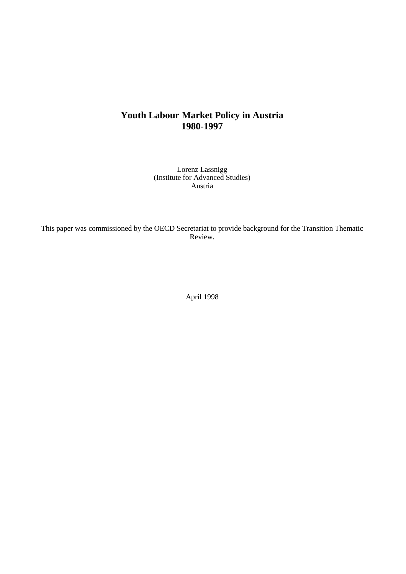# **Youth Labour Market Policy in Austria 1980-1997**

Lorenz Lassnigg (Institute for Advanced Studies) Austria

This paper was commissioned by the OECD Secretariat to provide background for the Transition Thematic Review.

April 1998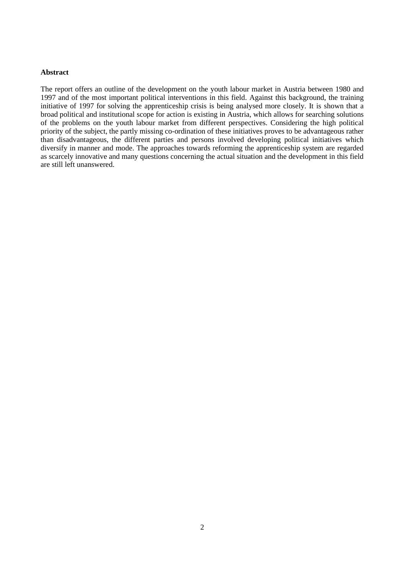## **Abstract**

The report offers an outline of the development on the youth labour market in Austria between 1980 and 1997 and of the most important political interventions in this field. Against this background, the training initiative of 1997 for solving the apprenticeship crisis is being analysed more closely. It is shown that a broad political and institutional scope for action is existing in Austria, which allows for searching solutions of the problems on the youth labour market from different perspectives. Considering the high political priority of the subject, the partly missing co-ordination of these initiatives proves to be advantageous rather than disadvantageous, the different parties and persons involved developing political initiatives which diversify in manner and mode. The approaches towards reforming the apprenticeship system are regarded as scarcely innovative and many questions concerning the actual situation and the development in this field are still left unanswered.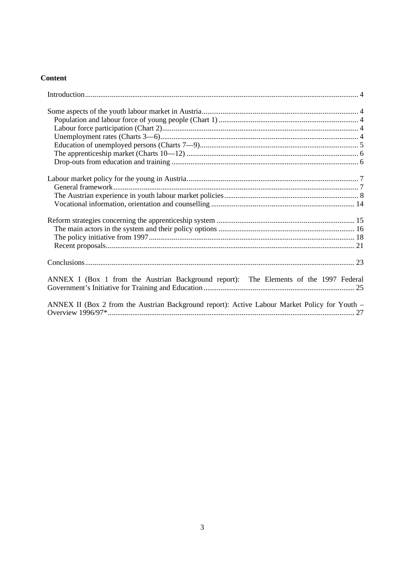## **Content**

| ANNEX I (Box 1 from the Austrian Background report): The Elements of the 1997 Federal         |  |
|-----------------------------------------------------------------------------------------------|--|
|                                                                                               |  |
|                                                                                               |  |
| ANNEX II (Box 2 from the Austrian Background report): Active Labour Market Policy for Youth – |  |
|                                                                                               |  |
|                                                                                               |  |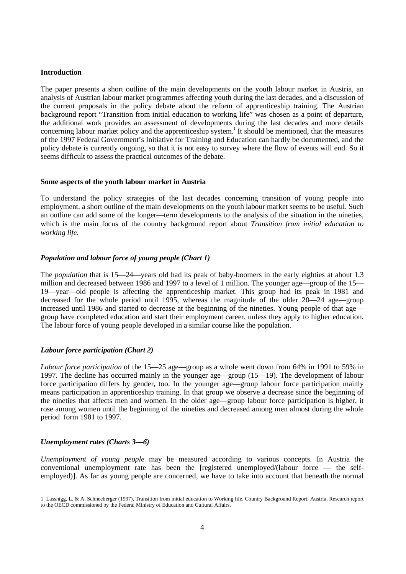#### **Introduction**

The paper presents a short outline of the main developments on the youth labour market in Austria, an analysis of Austrian labour market programmes affecting youth during the last decades, and a discussion of the current proposals in the policy debate about the reform of apprenticeship training. The Austrian background report "Transition from initial education to working life" was chosen as a point of departure, the additional work provides an assessment of developments during the last decades and more details concerning labour market policy and the apprenticeship system.<sup>1</sup> It should be mentioned, that the measures of the 1997 Federal Government's Initiative for Training and Education can hardly be documented, and the policy debate is currently ongoing, so that it is not easy to survey where the flow of events will end. So it seems difficult to assess the practical outcomes of the debate.

#### **Some aspects of the youth labour market in Austria**

To understand the policy strategies of the last decades concerning transition of young people into employment, a short outline of the main developments on the youth labour market seems to be useful. Such an outline can add some of the longer—term developments to the analysis of the situation in the nineties, which is the main focus of the country background report about *Transition from initial education to working life*.

#### *Population and labour force of young people (Chart 1)*

The *population* that is 15—24—years old had its peak of baby-boomers in the early eighties at about 1.3 million and decreased between 1986 and 1997 to a level of 1 million. The younger age—group of the 15— 19—year—old people is affecting the apprenticeship market. This group had its peak in 1981 and decreased for the whole period until 1995, whereas the magnitude of the older 20—24 age—group increased until 1986 and started to decrease at the beginning of the nineties. Young people of that age group have completed education and start their employment career, unless they apply to higher education. The labour force of young people developed in a similar course like the population.

#### *Labour force participation (Chart 2)*

*Labour force participation* of the 15—25 age—group as a whole went down from 64% in 1991 to 59% in 1997. The decline has occurred mainly in the younger age—group (15—19). The development of labour force participation differs by gender, too. In the younger age—group labour force participation mainly means participation in apprenticeship training. In that group we observe a decrease since the beginning of the nineties that affects men and women. In the older age—group labour force participation is higher, it rose among women until the beginning of the nineties and decreased among men almost during the whole period form 1981 to 1997.

#### *Unemployment rates (Charts 3—6)*

*Unemployment of young people* may be measured according to various concepts. In Austria the conventional unemployment rate has been the [registered unemployed/(labour force — the selfemployed)]. As far as young people are concerned, we have to take into account that beneath the normal

 <sup>1</sup> Lassnigg, L. & A. Schneeberger (1997), Transition from initial education to Working life. Country Background Report: Austria. Research report to the OECD commissioned by the Federal Ministry of Education and Cultural Affairs.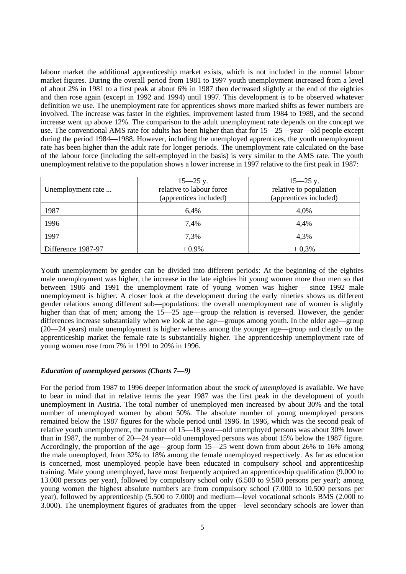labour market the additional apprenticeship market exists, which is not included in the normal labour market figures. During the overall period from 1981 to 1997 youth unemployment increased from a level of about 2% in 1981 to a first peak at about 6% in 1987 then decreased slightly at the end of the eighties and then rose again (except in 1992 and 1994) until 1997. This development is to be observed whatever definition we use. The unemployment rate for apprentices shows more marked shifts as fewer numbers are involved. The increase was faster in the eighties, improvement lasted from 1984 to 1989, and the second increase went up above 12%. The comparison to the adult unemployment rate depends on the concept we use. The conventional AMS rate for adults has been higher than that for 15—25—year—old people except during the period 1984—1988. However, including the unemployed apprentices, the youth unemployment rate has been higher than the adult rate for longer periods. The unemployment rate calculated on the base of the labour force (including the self-employed in the basis) is very similar to the AMS rate. The youth unemployment relative to the population shows a lower increase in 1997 relative to the first peak in 1987:

| Unemployment rate  | $15 - 25$ y.<br>relative to labour force<br>(apprentices included) | $15 - 25$ y.<br>relative to population<br>(apprentices included) |
|--------------------|--------------------------------------------------------------------|------------------------------------------------------------------|
| 1987               | 6.4%                                                               | 4,0%                                                             |
| 1996               | 7,4%                                                               | 4,4%                                                             |
| 1997               | 7,3%                                                               | 4,3%                                                             |
| Difference 1987-97 | $+0.9\%$                                                           | $+0,3%$                                                          |

Youth unemployment by gender can be divided into different periods: At the beginning of the eighties male unemployment was higher, the increase in the late eighties hit young women more than men so that between 1986 and 1991 the unemployment rate of young women was higher – since 1992 male unemployment is higher. A closer look at the development during the early nineties shows us different gender relations among different sub—populations: the overall unemployment rate of women is slightly higher than that of men; among the 15—25 age—group the relation is reversed. However, the gender differences increase substantially when we look at the age—groups among youth. In the older age—group (20—24 years) male unemployment is higher whereas among the younger age—group and clearly on the apprenticeship market the female rate is substantially higher. The apprenticeship unemployment rate of young women rose from 7% in 1991 to 20% in 1996.

#### *Education of unemployed persons (Charts 7—9)*

For the period from 1987 to 1996 deeper information about the *stock of unemployed* is available. We have to bear in mind that in relative terms the year 1987 was the first peak in the development of youth unemployment in Austria. The total number of unemployed men increased by about 30% and the total number of unemployed women by about 50%. The absolute number of young unemployed persons remained below the 1987 figures for the whole period until 1996. In 1996, which was the second peak of relative youth unemployment, the number of 15—18 year—old unemployed persons was about 30% lower than in 1987, the number of 20—24 year—old unemployed persons was about 15% below the 1987 figure. Accordingly, the proportion of the age—group form 15—25 went down from about 26% to 16% among the male unemployed, from 32% to 18% among the female unemployed respectively. As far as education is concerned, most unemployed people have been educated in compulsory school and apprenticeship training. Male young unemployed, have most frequently acquired an apprenticeship qualification (9.000 to 13.000 persons per year), followed by compulsory school only (6.500 to 9.500 persons per year); among young women the highest absolute numbers are from compulsory school (7.000 to 10.500 persons per year), followed by apprenticeship (5.500 to 7.000) and medium—level vocational schools BMS (2.000 to 3.000). The unemployment figures of graduates from the upper—level secondary schools are lower than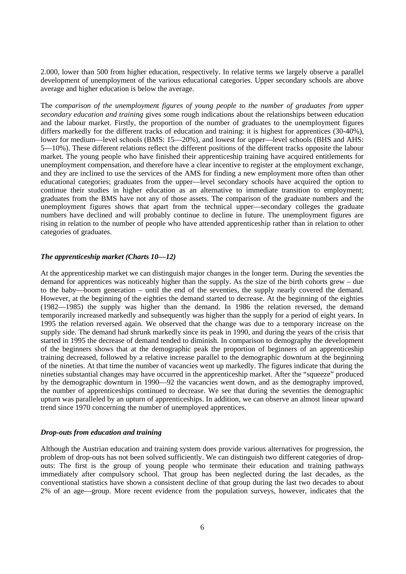2.000, lower than 500 from higher education, respectively. In relative terms we largely observe a parallel development of unemployment of the various educational categories. Upper secondary schools are above average and higher education is below the average.

The *comparison of the unemployment figures of young people to the number of graduates from upper secondary education and training* gives some rough indications about the relationships between education and the labour market. Firstly, the proportion of the number of graduates to the unemployment figures differs markedly for the different tracks of education and training: it is highest for apprentices (30-40%), lower for medium—level schools (BMS: 15—20%), and lowest for upper—level schools (BHS and AHS: 5—10%). These different relations reflect the different positions of the different tracks opposite the labour market. The young people who have finished their apprenticeship training have acquired entitlements for unemployment compensation, and therefore have a clear incentive to register at the employment exchange, and they are inclined to use the services of the AMS for finding a new employment more often than other educational categories; graduates from the upper—level secondary schools have acquired the option to continue their studies in higher education as an alternative to immediate transition to employment; graduates from the BMS have not any of those assets. The comparison of the graduate numbers and the unemployment figures shows that apart from the technical upper—secondary colleges the graduate numbers have declined and will probably continue to decline in future. The unemployment figures are rising in relation to the number of people who have attended apprenticeship rather than in relation to other categories of graduates.

## *The apprenticeship market (Charts 10—12)*

At the apprenticeship market we can distinguish major changes in the longer term. During the seventies the demand for apprentices was noticeably higher than the supply. As the size of the birth cohorts grew – due to the baby—boom generation – until the end of the seventies, the supply nearly covered the demand. However, at the beginning of the eighties the demand started to decrease. At the beginning of the eighties (1982—1985) the supply was higher than the demand. In 1986 the relation reversed, the demand temporarily increased markedly and subsequently was higher than the supply for a period of eight years. In 1995 the relation reversed again. We observed that the change was due to a temporary increase on the supply side. The demand had shrunk markedly since its peak in 1990, and during the years of the crisis that started in 1995 the decrease of demand tended to diminish. In comparison to demography the development of the beginners shows that at the demographic peak the proportion of beginners of an apprenticeship training decreased, followed by a relative increase parallel to the demographic downturn at the beginning of the nineties. At that time the number of vacancies went up markedly. The figures indicate that during the nineties substantial changes may have occurred in the apprenticeship market. After the "squeeze" produced by the demographic downturn in 1990—92 the vacancies went down, and as the demography improved, the number of apprenticeships continued to decrease. We see that during the seventies the demographic upturn was paralleled by an upturn of apprenticeships. In addition, we can observe an almost linear upward trend since 1970 concerning the number of unemployed apprentices.

#### *Drop-outs from education and training*

Although the Austrian education and training system does provide various alternatives for progression, the problem of drop-outs has not been solved sufficiently. We can distinguish two different categories of dropouts: The first is the group of young people who terminate their education and training pathways immediately after compulsory school. That group has been neglected during the last decades, as the conventional statistics have shown a consistent decline of that group during the last two decades to about 2% of an age—group. More recent evidence from the population surveys, however, indicates that the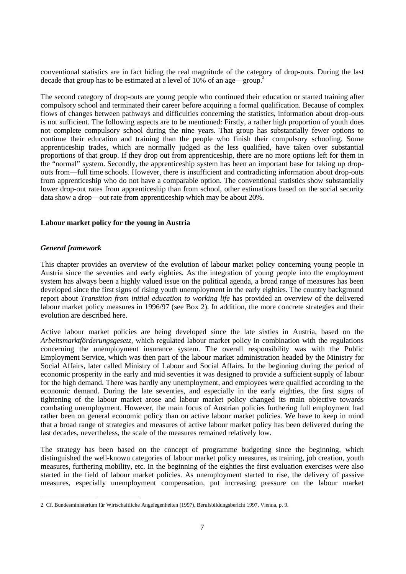conventional statistics are in fact hiding the real magnitude of the category of drop-outs. During the last decade that group has to be estimated at a level of  $10\%$  of an age—group.<sup>2</sup>

The second category of drop-outs are young people who continued their education or started training after compulsory school and terminated their career before acquiring a formal qualification. Because of complex flows of changes between pathways and difficulties concerning the statistics, information about drop-outs is not sufficient. The following aspects are to be mentioned: Firstly, a rather high proportion of youth does not complete compulsory school during the nine years. That group has substantially fewer options to continue their education and training than the people who finish their compulsory schooling. Some apprenticeship trades, which are normally judged as the less qualified, have taken over substantial proportions of that group. If they drop out from apprenticeship, there are no more options left for them in the "normal" system. Secondly, the apprenticeship system has been an important base for taking up dropouts from—full time schools. However, there is insufficient and contradicting information about drop-outs from apprenticeship who do not have a comparable option. The conventional statistics show substantially lower drop-out rates from apprenticeship than from school, other estimations based on the social security data show a drop—out rate from apprenticeship which may be about 20%.

#### **Labour market policy for the young in Austria**

#### *General framework*

This chapter provides an overview of the evolution of labour market policy concerning young people in Austria since the seventies and early eighties. As the integration of young people into the employment system has always been a highly valued issue on the political agenda, a broad range of measures has been developed since the first signs of rising youth unemployment in the early eighties. The country background report about *Transition from initial education to working life* has provided an overview of the delivered labour market policy measures in 1996/97 (see Box 2). In addition, the more concrete strategies and their evolution are described here.

Active labour market policies are being developed since the late sixties in Austria, based on the *Arbeitsmarktförderungsgesetz,* which regulated labour market policy in combination with the regulations concerning the unemployment insurance system. The overall responsibility was with the Public Employment Service, which was then part of the labour market administration headed by the Ministry for Social Affairs, later called Ministry of Labour and Social Affairs. In the beginning during the period of economic prosperity in the early and mid seventies it was designed to provide a sufficient supply of labour for the high demand. There was hardly any unemployment, and employees were qualified according to the economic demand. During the late seventies, and especially in the early eighties, the first signs of tightening of the labour market arose and labour market policy changed its main objective towards combating unemployment. However, the main focus of Austrian policies furthering full employment had rather been on general economic policy than on active labour market policies. We have to keep in mind that a broad range of strategies and measures of active labour market policy has been delivered during the last decades, nevertheless, the scale of the measures remained relatively low.

The strategy has been based on the concept of programme budgeting since the beginning, which distinguished the well-known categories of labour market policy measures, as training, job creation, youth measures, furthering mobility, etc. In the beginning of the eighties the first evaluation exercises were also started in the field of labour market policies. As unemployment started to rise, the delivery of passive measures, especially unemployment compensation, put increasing pressure on the labour market

 <sup>2</sup> Cf. Bundesministerium für Wirtschaftliche Angelegenheiten (1997), Berufsbildungsbericht 1997. Vienna, p. 9.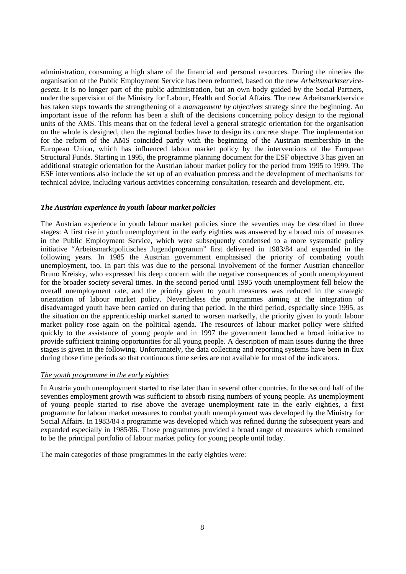administration, consuming a high share of the financial and personal resources. During the nineties the organisation of the Public Employment Service has been reformed, based on the new *Arbeitsmarktservicegesetz*. It is no longer part of the public administration, but an own body guided by the Social Partners, under the supervision of the Ministry for Labour, Health and Social Affairs. The new Arbeitsmarktservice has taken steps towards the strengthening of a *management by objectives* strategy since the beginning. An important issue of the reform has been a shift of the decisions concerning policy design to the regional units of the AMS. This means that on the federal level a general strategic orientation for the organisation on the whole is designed, then the regional bodies have to design its concrete shape. The implementation for the reform of the AMS coincided partly with the beginning of the Austrian membership in the European Union, which has influenced labour market policy by the interventions of the European Structural Funds. Starting in 1995, the programme planning document for the ESF objective 3 has given an additional strategic orientation for the Austrian labour market policy for the period from 1995 to 1999. The ESF interventions also include the set up of an evaluation process and the development of mechanisms for technical advice, including various activities concerning consultation, research and development, etc.

#### *The Austrian experience in youth labour market policies*

The Austrian experience in youth labour market policies since the seventies may be described in three stages: A first rise in youth unemployment in the early eighties was answered by a broad mix of measures in the Public Employment Service, which were subsequently condensed to a more systematic policy initiative "Arbeitsmarktpolitisches Jugendprogramm" first delivered in 1983/84 and expanded in the following years. In 1985 the Austrian government emphasised the priority of combating youth unemployment, too. In part this was due to the personal involvement of the former Austrian chancellor Bruno Kreisky, who expressed his deep concern with the negative consequences of youth unemployment for the broader society several times. In the second period until 1995 youth unemployment fell below the overall unemployment rate, and the priority given to youth measures was reduced in the strategic orientation of labour market policy. Nevertheless the programmes aiming at the integration of disadvantaged youth have been carried on during that period. In the third period, especially since 1995, as the situation on the apprenticeship market started to worsen markedly, the priority given to youth labour market policy rose again on the political agenda. The resources of labour market policy were shifted quickly to the assistance of young people and in 1997 the government launched a broad initiative to provide sufficient training opportunities for all young people. A description of main issues during the three stages is given in the following. Unfortunately, the data collecting and reporting systems have been in flux during those time periods so that continuous time series are not available for most of the indicators.

#### *The youth programme in the early eighties*

In Austria youth unemployment started to rise later than in several other countries. In the second half of the seventies employment growth was sufficient to absorb rising numbers of young people. As unemployment of young people started to rise above the average unemployment rate in the early eighties, a first programme for labour market measures to combat youth unemployment was developed by the Ministry for Social Affairs. In 1983/84 a programme was developed which was refined during the subsequent years and expanded especially in 1985/86. Those programmes provided a broad range of measures which remained to be the principal portfolio of labour market policy for young people until today.

The main categories of those programmes in the early eighties were: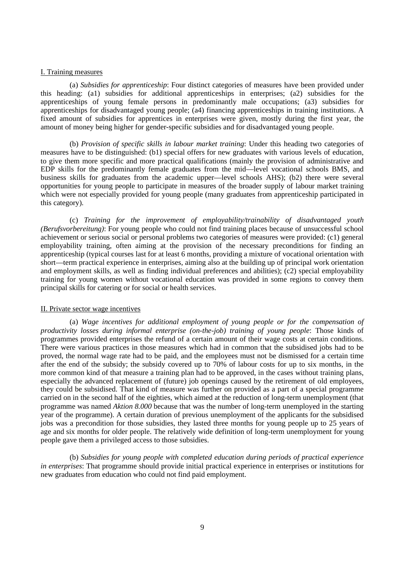#### I. Training measures

(a) *Subsidies for apprenticeship*: Four distinct categories of measures have been provided under this heading: (a1) subsidies for additional apprenticeships in enterprises; (a2) subsidies for the apprenticeships of young female persons in predominantly male occupations; (a3) subsidies for apprenticeships for disadvantaged young people; (a4) financing apprenticeships in training institutions. A fixed amount of subsidies for apprentices in enterprises were given, mostly during the first year, the amount of money being higher for gender-specific subsidies and for disadvantaged young people.

(b) *Provision of specific skills in labour market training*: Under this heading two categories of measures have to be distinguished: (b1) special offers for new graduates with various levels of education, to give them more specific and more practical qualifications (mainly the provision of administrative and EDP skills for the predominantly female graduates from the mid—level vocational schools BMS, and business skills for graduates from the academic upper—level schools AHS); (b2) there were several opportunities for young people to participate in measures of the broader supply of labour market training which were not especially provided for young people (many graduates from apprenticeship participated in this category).

(c) *Training for the improvement of employability/trainability of disadvantaged youth (Berufsvorbereitung)*: For young people who could not find training places because of unsuccessful school achievement or serious social or personal problems two categories of measures were provided: (c1) general employability training, often aiming at the provision of the necessary preconditions for finding an apprenticeship (typical courses last for at least 6 months, providing a mixture of vocational orientation with short—term practical experience in enterprises, aiming also at the building up of principal work orientation and employment skills, as well as finding individual preferences and abilities); (c2) special employability training for young women without vocational education was provided in some regions to convey them principal skills for catering or for social or health services.

#### II. Private sector wage incentives

(a) *Wage incentives for additional employment of young people or for the compensation of productivity losses during informal enterprise (on-the-job) training of young people*: Those kinds of programmes provided enterprises the refund of a certain amount of their wage costs at certain conditions. There were various practices in those measures which had in common that the subsidised jobs had to be proved, the normal wage rate had to be paid, and the employees must not be dismissed for a certain time after the end of the subsidy; the subsidy covered up to 70% of labour costs for up to six months, in the more common kind of that measure a training plan had to be approved, in the cases without training plans, especially the advanced replacement of (future) job openings caused by the retirement of old employees, they could be subsidised. That kind of measure was further on provided as a part of a special programme carried on in the second half of the eighties, which aimed at the reduction of long-term unemployment (that programme was named *Aktion 8.000* because that was the number of long-term unemployed in the starting year of the programme). A certain duration of previous unemployment of the applicants for the subsidised jobs was a precondition for those subsidies, they lasted three months for young people up to 25 years of age and six months for older people. The relatively wide definition of long-term unemployment for young people gave them a privileged access to those subsidies.

(b) *Subsidies for young people with completed education during periods of practical experience in enterprises*: That programme should provide initial practical experience in enterprises or institutions for new graduates from education who could not find paid employment.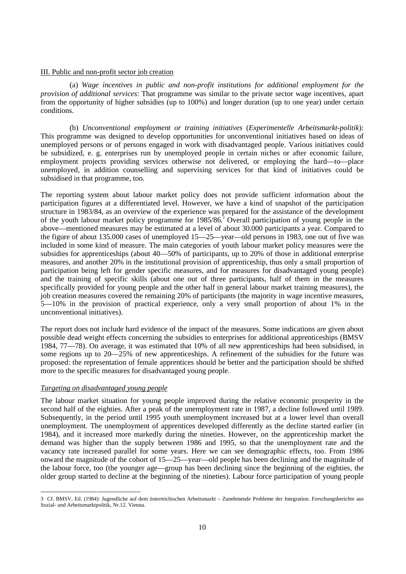#### III. Public and non-profit sector job creation

(a) *Wage incentives in public and non-profit institutions for additional employment for the provision of additional services*: That programme was similar to the private sector wage incentives, apart from the opportunity of higher subsidies (up to 100%) and longer duration (up to one year) under certain conditions.

(b) *Unconventional employment or training initiatives* (*Experimentelle Arbeitsmarkt-politik*): This programme was designed to develop opportunities for unconventional initiatives based on ideas of unemployed persons or of persons engaged in work with disadvantaged people. Various initiatives could be subsidized, e. g. enterprises run by unemployed people in certain niches or after economic failure, employment projects providing services otherwise not delivered, or employing the hard—to—place unemployed, in addition counselling and supervising services for that kind of initiatives could be subsidised in that programme, too.

The reporting system about labour market policy does not provide sufficient information about the participation figures at a differentiated level. However, we have a kind of snapshot of the participation structure in 1983/84, as an overview of the experience was prepared for the assistance of the development of the youth labour market policy programme for 1985/86.<sup>3</sup> Overall participation of young people in the above—mentioned measures may be estimated at a level of about 30.000 participants a year. Compared to the figure of about 135.000 cases of unemployed 15—25—year—old persons in 1983, one out of five was included in some kind of measure. The main categories of youth labour market policy measures were the subsidies for apprenticeships (about 40—50% of participants, up to 20% of those in additional enterprise measures, and another 20% in the institutional provision of apprenticeship, thus only a small proportion of participation being left for gender specific measures, and for measures for disadvantaged young people) and the training of specific skills (about one out of three participants, half of them in the measures specifically provided for young people and the other half in general labour market training measures), the job creation measures covered the remaining 20% of participants (the majority in wage incentive measures, 5—10% in the provision of practical experience, only a very small proportion of about 1% in the unconventional initiatives).

The report does not include hard evidence of the impact of the measures. Some indications are given about possible dead weight effects concerning the subsidies to enterprises for additional apprenticeships (BMSV 1984, 77—78). On average, it was estimated that 10% of all new apprenticeships had been subsidised, in some regions up to 20—25% of new apprenticeships. A refinement of the subsidies for the future was proposed: the representation of female apprentices should be better and the participation should be shifted more to the specific measures for disadvantaged young people.

#### *Targeting on disadvantaged young people*

The labour market situation for young people improved during the relative economic prosperity in the second half of the eighties. After a peak of the unemployment rate in 1987, a decline followed until 1989. Subsequently, in the period until 1995 youth unemployment increased but at a lower level than overall unemployment. The unemployment of apprentices developed differently as the decline started earlier (in 1984), and it increased more markedly during the nineties. However, on the apprenticeship market the demand was higher than the supply between 1986 and 1995, so that the unemployment rate and the vacancy rate increased parallel for some years. Here we can see demographic effects, too. From 1986 onward the magnitude of the cohort of 15—25—year—old people has been declining and the magnitude of the labour force, too (the younger age—group has been declining since the beginning of the eighties, the older group started to decline at the beginning of the nineties). Labour force participation of young people

 <sup>3</sup> Cf. BMSV, Ed. (1984): Jugendliche auf dem österreichischen Arbeitsmarkt – Zunehmende Probleme der Integration. Forschungsberichte aus Sozial- und Arbeitsmarktpolitik, Nr.12. Vienna.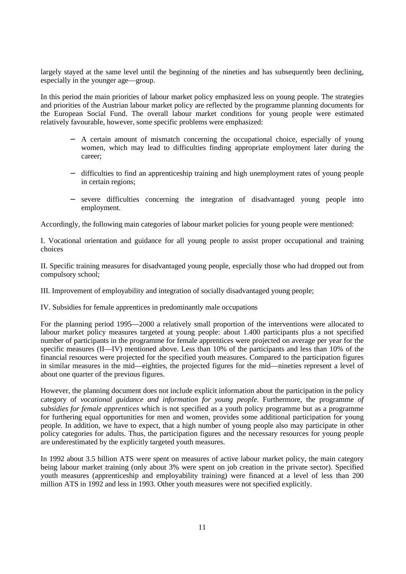largely stayed at the same level until the beginning of the nineties and has subsequently been declining, especially in the younger age—group.

In this period the main priorities of labour market policy emphasized less on young people. The strategies and priorities of the Austrian labour market policy are reflected by the programme planning documents for the European Social Fund. The overall labour market conditions for young people were estimated relatively favourable, however, some specific problems were emphasized:

- − A certain amount of mismatch concerning the occupational choice, especially of young women, which may lead to difficulties finding appropriate employment later during the career;
- − difficulties to find an apprenticeship training and high unemployment rates of young people in certain regions;
- − severe difficulties concerning the integration of disadvantaged young people into employment.

Accordingly, the following main categories of labour market policies for young people were mentioned:

I. Vocational orientation and guidance for all young people to assist proper occupational and training choices

II. Specific training measures for disadvantaged young people, especially those who had dropped out from compulsory school;

III. Improvement of employability and integration of socially disadvantaged young people;

IV. Subsidies for female apprentices in predominantly male occupations

For the planning period 1995—2000 a relatively small proportion of the interventions were allocated to labour market policy measures targeted at young people: about 1.400 participants plus a not specified number of participants in the programme for female apprentices were projected on average per year for the specific measures (II—IV) mentioned above. Less than 10% of the participants and less than 10% of the financial resources were projected for the specified youth measures. Compared to the participation figures in similar measures in the mid—eighties, the projected figures for the mid—nineties represent a level of about one quarter of the previous figures.

However, the planning document does not include explicit information about the participation in the policy category of *vocational guidance and information for young people*. Furthermore, the programme *of subsidies for female apprentices* which is not specified as a youth policy programme but as a programme for furthering equal opportunities for men and women, provides some additional participation for young people. In addition, we have to expect, that a high number of young people also may participate in other policy categories for adults. Thus, the participation figures and the necessary resources for young people are underestimated by the explicitly targeted youth measures.

In 1992 about 3.5 billion ATS were spent on measures of active labour market policy, the main category being labour market training (only about 3% were spent on job creation in the private sector). Specified youth measures (apprenticeship and employability training) were financed at a level of less than 200 million ATS in 1992 and less in 1993. Other youth measures were not specified explicitly.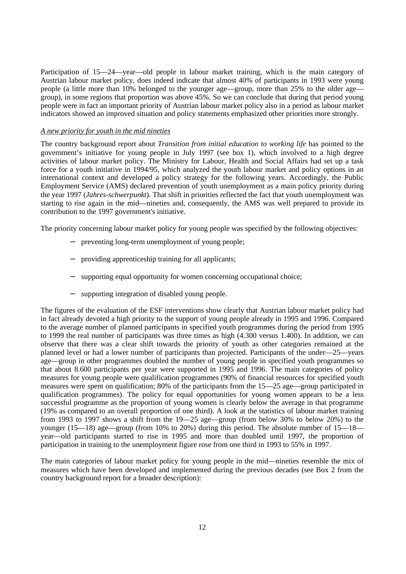Participation of 15—24—year—old people in labour market training, which is the main category of Austrian labour market policy, does indeed indicate that almost 40% of participants in 1993 were young people (a little more than 10% belonged to the younger age—group, more than 25% to the older age group), in some regions that proportion was above 45%. So we can conclude that during that period young people were in fact an important priority of Austrian labour market policy also in a period as labour market indicators showed an improved situation and policy statements emphasized other priorities more strongly.

#### *A new priority for youth in the mid nineties*

The country background report about *Transition from initial education to working life* has pointed to the government's initiative for young people in July 1997 (see box 1), which involved to a high degree activities of labour market policy. The Ministry for Labour, Health and Social Affairs had set up a task force for a youth initiative in 1994/95, which analyzed the youth labour market and policy options in an international context and developed a policy strategy for the following years. Accordingly, the Public Employment Service (AMS) declared prevention of youth unemployment as a main policy priority during the year 1997 (*Jahres-schwerpunkt*). That shift in priorities reflected the fact that youth unemployment was starting to rise again in the mid—nineties and, consequently, the AMS was well prepared to provide its contribution to the 1997 government's initiative.

The priority concerning labour market policy for young people was specified by the following objectives:

- − preventing long-term unemployment of young people;
- providing apprenticeship training for all applicants;
- supporting equal opportunity for women concerning occupational choice;
- supporting integration of disabled young people.

The figures of the evaluation of the ESF interventions show clearly that Austrian labour market policy had in fact already devoted a high priority to the support of young people already in 1995 and 1996. Compared to the average number of planned participants in specified youth programmes during the period from 1995 to 1999 the real number of participants was three times as high (4.300 versus 1.400). In addition, we can observe that there was a clear shift towards the priority of youth as other categories remained at the planned level or had a lower number of participants than projected. Participants of the under—25—years age—group in other programmes doubled the number of young people in specified youth programmes so that about 8.600 participants per year were supported in 1995 and 1996. The main categories of policy measures for young people were qualification programmes (90% of financial resources for specified youth measures were spent on qualification; 80% of the participants from the 15—25 age—group participated in qualification programmes). The policy for equal opportunities for young women appears to be a less successful programme as the proportion of young women is clearly below the average in that programme (19% as compared to an overall proportion of one third). A look at the statistics of labour market training from 1993 to 1997 shows a shift from the 19—25 age—group (from below 30% to below 20%) to the younger (15—18) age—group (from 10% to 20%) during this period. The absolute number of 15—18 year—old participants started to rise in 1995 and more than doubled until 1997, the proportion of participation in training to the unemployment figure rose from one third in 1993 to 55% in 1997.

The main categories of labour market policy for young people in the mid—nineties resemble the mix of measures which have been developed and implemented during the previous decades (see Box 2 from the country background report for a broader description):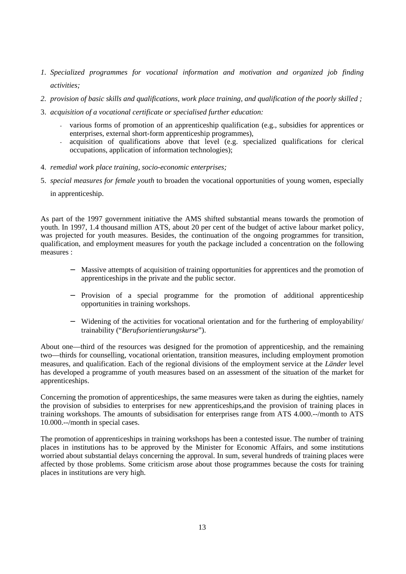- *1. Specialized programmes for vocational information and motivation and organized job finding activities;*
- *2. provision of basic skills and qualifications, work place training, and qualification of the poorly skilled ;*
- 3. *acquisition of a vocational certificate or specialised further education:*
	- various forms of promotion of an apprenticeship qualification (e.g., subsidies for apprentices or enterprises, external short-form apprenticeship programmes),
	- acquisition of qualifications above that level (e.g. specialized qualifications for clerical occupations, application of information technologies);
- 4. *remedial work place training, socio-economic enterprises;*
- 5. *special measures for female youth* to broaden the vocational opportunities of young women, especially in apprenticeship.

As part of the 1997 government initiative the AMS shifted substantial means towards the promotion of youth. In 1997, 1.4 thousand million ATS, about 20 per cent of the budget of active labour market policy, was projected for youth measures. Besides, the continuation of the ongoing programmes for transition, qualification, and employment measures for youth the package included a concentration on the following measures :

- − Massive attempts of acquisition of training opportunities for apprentices and the promotion of apprenticeships in the private and the public sector.
- − Provision of a special programme for the promotion of additional apprenticeship opportunities in training workshops.
- − Widening of the activities for vocational orientation and for the furthering of employability/ trainability ("*Berufsorientierungskurse*").

About one—third of the resources was designed for the promotion of apprenticeship, and the remaining two—thirds for counselling, vocational orientation, transition measures, including employment promotion measures, and qualification. Each of the regional divisions of the employment service at the *Länder* level has developed a programme of youth measures based on an assessment of the situation of the market for apprenticeships.

Concerning the promotion of apprenticeships, the same measures were taken as during the eighties, namely the provision of subsidies to enterprises for new apprenticeships,and the provision of training places in training workshops. The amounts of subsidisation for enterprises range from ATS 4.000.--/month to ATS 10.000.--/month in special cases.

The promotion of apprenticeships in training workshops has been a contested issue. The number of training places in institutions has to be approved by the Minister for Economic Affairs, and some institutions worried about substantial delays concerning the approval. In sum, several hundreds of training places were affected by those problems. Some criticism arose about those programmes because the costs for training places in institutions are very high.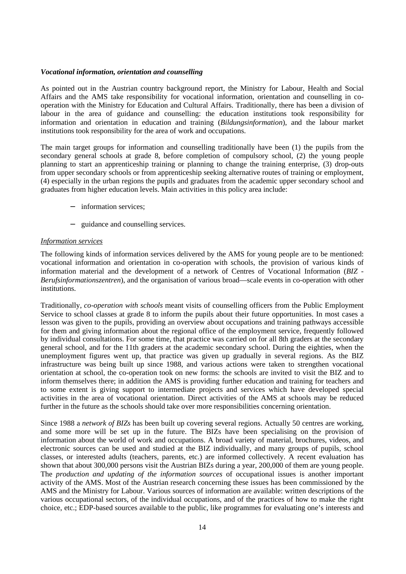#### *Vocational information, orientation and counselling*

As pointed out in the Austrian country background report, the Ministry for Labour, Health and Social Affairs and the AMS take responsibility for vocational information, orientation and counselling in cooperation with the Ministry for Education and Cultural Affairs. Traditionally, there has been a division of labour in the area of guidance and counselling: the education institutions took responsibility for information and orientation in education and training (*Bildungsinformation*), and the labour market institutions took responsibility for the area of work and occupations.

The main target groups for information and counselling traditionally have been (1) the pupils from the secondary general schools at grade 8, before completion of compulsory school, (2) the young people planning to start an apprenticeship training or planning to change the training enterprise, (3) drop-outs from upper secondary schools or from apprenticeship seeking alternative routes of training or employment, (4) especially in the urban regions the pupils and graduates from the academic upper secondary school and graduates from higher education levels. Main activities in this policy area include:

- − information services;
- − guidance and counselling services.

#### *Information services*

The following kinds of information services delivered by the AMS for young people are to be mentioned: vocational information and orientation in co-operation with schools, the provision of various kinds of information material and the development of a network of Centres of Vocational Information (*BIZ - Berufsinformationszentren*), and the organisation of various broad—scale events in co-operation with other institutions.

Traditionally, *co-operation with schools* meant visits of counselling officers from the Public Employment Service to school classes at grade 8 to inform the pupils about their future opportunities. In most cases a lesson was given to the pupils, providing an overview about occupations and training pathways accessible for them and giving information about the regional office of the employment service, frequently followed by individual consultations. For some time, that practice was carried on for all 8th graders at the secondary general school, and for the 11th graders at the academic secondary school. During the eighties, when the unemployment figures went up, that practice was given up gradually in several regions. As the BIZ infrastructure was being built up since 1988, and various actions were taken to strengthen vocational orientation at school, the co-operation took on new forms: the schools are invited to visit the BIZ and to inform themselves there; in addition the AMS is providing further education and training for teachers and to some extent is giving support to intermediate projects and services which have developed special activities in the area of vocational orientation. Direct activities of the AMS at schools may be reduced further in the future as the schools should take over more responsibilities concerning orientation.

Since 1988 a *network of BIZs* has been built up covering several regions. Actually 50 centres are working, and some more will be set up in the future. The BIZs have been specialising on the provision of information about the world of work and occupations. A broad variety of material, brochures, videos, and electronic sources can be used and studied at the BIZ individually, and many groups of pupils, school classes, or interested adults (teachers, parents, etc.) are informed collectively. A recent evaluation has shown that about 300,000 persons visit the Austrian BIZs during a year, 200,000 of them are young people. The *production and updating of the information sources* of occupational issues is another important activity of the AMS. Most of the Austrian research concerning these issues has been commissioned by the AMS and the Ministry for Labour. Various sources of information are available: written descriptions of the various occupational sectors, of the individual occupations, and of the practices of how to make the right choice, etc.; EDP-based sources available to the public, like programmes for evaluating one's interests and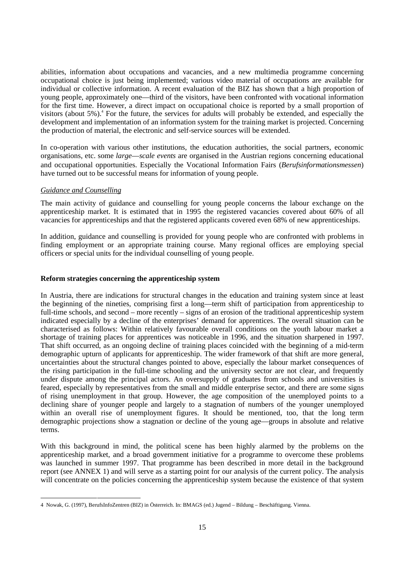abilities, information about occupations and vacancies, and a new multimedia programme concerning occupational choice is just being implemented; various video material of occupations are available for individual or collective information. A recent evaluation of the BIZ has shown that a high proportion of young people, approximately one—third of the visitors, have been confronted with vocational information for the first time. However, a direct impact on occupational choice is reported by a small proportion of visitors (about 5%).<sup>4</sup> For the future, the services for adults will probably be extended, and especially the development and implementation of an information system for the training market is projected. Concerning the production of material, the electronic and self-service sources will be extended.

In co-operation with various other institutions, the education authorities, the social partners, economic organisations, etc. some *large*—*scale events* are organised in the Austrian regions concerning educational and occupational opportunities. Especially the Vocational Information Fairs (*Berufsinformationsmessen*) have turned out to be successful means for information of young people.

## *Guidance and Counselling*

The main activity of guidance and counselling for young people concerns the labour exchange on the apprenticeship market. It is estimated that in 1995 the registered vacancies covered about 60% of all vacancies for apprenticeships and that the registered applicants covered even 68% of new apprenticeships.

In addition, guidance and counselling is provided for young people who are confronted with problems in finding employment or an appropriate training course. Many regional offices are employing special officers or special units for the individual counselling of young people.

## **Reform strategies concerning the apprenticeship system**

In Austria, there are indications for structural changes in the education and training system since at least the beginning of the nineties, comprising first a long—term shift of participation from apprenticeship to full-time schools, and second – more recently – signs of an erosion of the traditional apprenticeship system indicated especially by a decline of the enterprises' demand for apprentices. The overall situation can be characterised as follows: Within relatively favourable overall conditions on the youth labour market a shortage of training places for apprentices was noticeable in 1996, and the situation sharpened in 1997. That shift occurred, as an ongoing decline of training places coincided with the beginning of a mid-term demographic upturn of applicants for apprenticeship. The wider framework of that shift are more general, uncertainties about the structural changes pointed to above, especially the labour market consequences of the rising participation in the full-time schooling and the university sector are not clear, and frequently under dispute among the principal actors. An oversupply of graduates from schools and universities is feared, especially by representatives from the small and middle enterprise sector, and there are some signs of rising unemployment in that group. However, the age composition of the unemployed points to a declining share of younger people and largely to a stagnation of numbers of the younger unemployed within an overall rise of unemployment figures. It should be mentioned, too, that the long term demographic projections show a stagnation or decline of the young age—groups in absolute and relative terms.

With this background in mind, the political scene has been highly alarmed by the problems on the apprenticeship market, and a broad government initiative for a programme to overcome these problems was launched in summer 1997. That programme has been described in more detail in the background report (see ANNEX 1) and will serve as a starting point for our analysis of the current policy. The analysis will concentrate on the policies concerning the apprenticeship system because the existence of that system

 <sup>4</sup> Nowak, G. (1997), BerufsInfoZentren (BIZ) in Österreich. In: BMAGS (ed.) Jugend – Bildung – Beschäftigung. Vienna.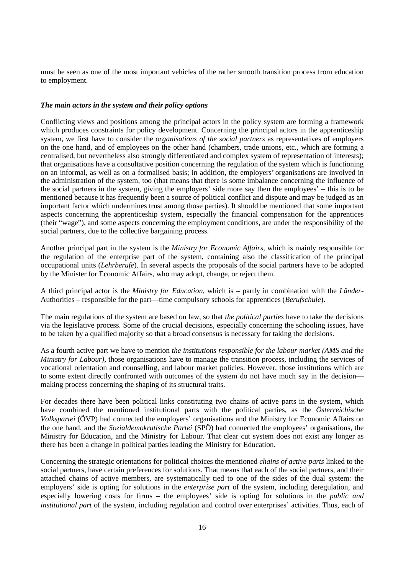must be seen as one of the most important vehicles of the rather smooth transition process from education to employment.

#### *The main actors in the system and their policy options*

Conflicting views and positions among the principal actors in the policy system are forming a framework which produces constraints for policy development. Concerning the principal actors in the apprenticeship system, we first have to consider the *organisations of the social partners* as representatives of employers on the one hand, and of employees on the other hand (chambers, trade unions, etc., which are forming a centralised, but nevertheless also strongly differentiated and complex system of representation of interests); that organisations have a consultative position concerning the regulation of the system which is functioning on an informal, as well as on a formalised basis; in addition, the employers' organisations are involved in the administration of the system, too (that means that there is some imbalance concerning the influence of the social partners in the system, giving the employers' side more say then the employees' – this is to be mentioned because it has frequently been a source of political conflict and dispute and may be judged as an important factor which undermines trust among those parties). It should be mentioned that some important aspects concerning the apprenticeship system, especially the financial compensation for the apprentices (their "wage"), and some aspects concerning the employment conditions, are under the responsibility of the social partners, due to the collective bargaining process.

Another principal part in the system is the *Ministry for Economic Affairs,* which is mainly responsible for the regulation of the enterprise part of the system, containing also the classification of the principal occupational units (*Lehrberufe*). In several aspects the proposals of the social partners have to be adopted by the Minister for Economic Affairs, who may adopt, change, or reject them.

A third principal actor is the *Ministry for Education*, which is – partly in combination with the *Länder*-Authorities – responsible for the part—time compulsory schools for apprentices (*Berufschule*).

The main regulations of the system are based on law, so that *the political parties* have to take the decisions via the legislative process. Some of the crucial decisions, especially concerning the schooling issues, have to be taken by a qualified majority so that a broad consensus is necessary for taking the decisions.

As a fourth active part we have to mention *the institutions responsible for the labour market (AMS and the Ministry for Labour)*, those organisations have to manage the transition process, including the services of vocational orientation and counselling, and labour market policies. However, those institutions which are to some extent directly confronted with outcomes of the system do not have much say in the decision making process concerning the shaping of its structural traits.

For decades there have been political links constituting two chains of active parts in the system, which have combined the mentioned institutional parts with the political parties, as the *Österreichische Volkspartei* (ÖVP) had connected the employers' organisations and the Ministry for Economic Affairs on the one hand, and the *Sozialdemokratische Partei* (SPÖ) had connected the employees' organisations, the Ministry for Education, and the Ministry for Labour. That clear cut system does not exist any longer as there has been a change in political parties leading the Ministry for Education.

Concerning the strategic orientations for political choices the mentioned *chains of active parts* linked to the social partners, have certain preferences for solutions. That means that each of the social partners, and their attached chains of active members, are systematically tied to one of the sides of the dual system: the employers' side is opting for solutions in the *enterprise part* of the system, including deregulation, and especially lowering costs for firms – the employees' side is opting for solutions in the *public and institutional part* of the system, including regulation and control over enterprises' activities. Thus, each of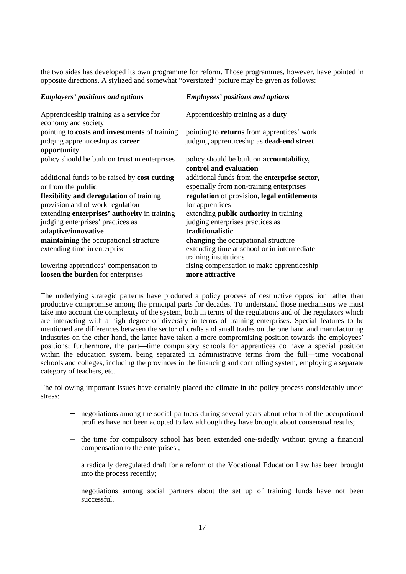the two sides has developed its own programme for reform. Those programmes, however, have pointed in opposite directions. A stylized and somewhat "overstated" picture may be given as follows:

| <b>Employers' positions and options</b>                                | <b>Employees' positions and options</b>                                     |
|------------------------------------------------------------------------|-----------------------------------------------------------------------------|
| Apprenticeship training as a <b>service</b> for<br>economy and society | Apprenticeship training as a duty                                           |
| pointing to <b>costs and investments</b> of training                   | pointing to <b>returns</b> from apprentices' work                           |
| judging apprenticeship as career<br>opportunity                        | judging apprenticeship as <b>dead-end street</b>                            |
| policy should be built on trust in enterprises                         | policy should be built on <b>accountability</b> ,<br>control and evaluation |
| additional funds to be raised by cost cutting                          | additional funds from the enterprise sector,                                |
| or from the <b>public</b>                                              | especially from non-training enterprises                                    |
| flexibility and deregulation of training                               | regulation of provision, legal entitlements                                 |
| provision and of work regulation                                       | for apprentices                                                             |
| extending <b>enterprises</b> ' <b>authority</b> in training            | extending public authority in training                                      |
| judging enterprises' practices as                                      | judging enterprises practices as                                            |
| adaptive/innovative                                                    | traditionalistic                                                            |
| maintaining the occupational structure                                 | changing the occupational structure                                         |
| extending time in enterprise                                           | extending time at school or in intermediate<br>training institutions        |
| lowering apprentices' compensation to                                  | rising compensation to make apprenticeship                                  |
| loosen the burden for enterprises                                      | more attractive                                                             |

The underlying strategic patterns have produced a policy process of destructive opposition rather than productive compromise among the principal parts for decades. To understand those mechanisms we must take into account the complexity of the system, both in terms of the regulations and of the regulators which are interacting with a high degree of diversity in terms of training enterprises. Special features to be mentioned are differences between the sector of crafts and small trades on the one hand and manufacturing industries on the other hand, the latter have taken a more compromising position towards the employees' positions; furthermore, the part—time compulsory schools for apprentices do have a special position within the education system, being separated in administrative terms from the full—time vocational schools and colleges, including the provinces in the financing and controlling system, employing a separate category of teachers, etc.

The following important issues have certainly placed the climate in the policy process considerably under stress:

- negotiations among the social partners during several years about reform of the occupational profiles have not been adopted to law although they have brought about consensual results;
- − the time for compulsory school has been extended one-sidedly without giving a financial compensation to the enterprises ;
- a radically deregulated draft for a reform of the Vocational Education Law has been brought into the process recently;
- − negotiations among social partners about the set up of training funds have not been successful.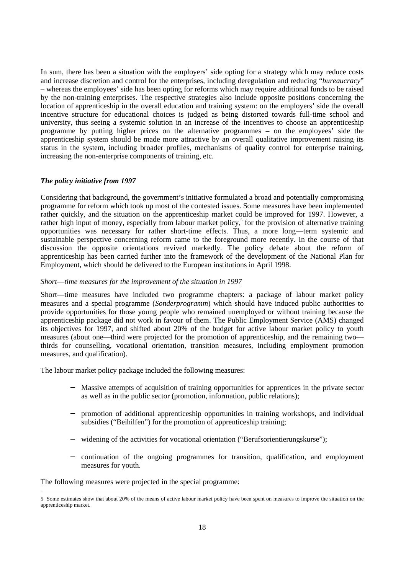In sum, there has been a situation with the employers' side opting for a strategy which may reduce costs and increase discretion and control for the enterprises, including deregulation and reducing "*bureaucracy*" – whereas the employees' side has been opting for reforms which may require additional funds to be raised by the non-training enterprises. The respective strategies also include opposite positions concerning the location of apprenticeship in the overall education and training system: on the employers' side the overall incentive structure for educational choices is judged as being distorted towards full-time school and university, thus seeing a systemic solution in an increase of the incentives to choose an apprenticeship programme by putting higher prices on the alternative programmes – on the employees' side the apprenticeship system should be made more attractive by an overall qualitative improvement raising its status in the system, including broader profiles, mechanisms of quality control for enterprise training, increasing the non-enterprise components of training, etc.

## *The policy initiative from 1997*

Considering that background, the government's initiative formulated a broad and potentially compromising programme for reform which took up most of the contested issues. Some measures have been implemented rather quickly, and the situation on the apprenticeship market could be improved for 1997. However, a rather high input of money, especially from labour market policy,<sup>5</sup> for the provision of alternative training opportunities was necessary for rather short-time effects. Thus, a more long—term systemic and sustainable perspective concerning reform came to the foreground more recently. In the course of that discussion the opposite orientations revived markedly. The policy debate about the reform of apprenticeship has been carried further into the framework of the development of the National Plan for Employment, which should be delivered to the European institutions in April 1998.

#### *Short*—*time measures for the improvement of the situation in 1997*

Short—time measures have included two programme chapters: a package of labour market policy measures and a special programme (*Sonderprogramm*) which should have induced public authorities to provide opportunities for those young people who remained unemployed or without training because the apprenticeship package did not work in favour of them. The Public Employment Service (AMS) changed its objectives for 1997, and shifted about 20% of the budget for active labour market policy to youth measures (about one—third were projected for the promotion of apprenticeship, and the remaining two thirds for counselling, vocational orientation, transition measures, including employment promotion measures, and qualification).

The labour market policy package included the following measures:

- − Massive attempts of acquisition of training opportunities for apprentices in the private sector as well as in the public sector (promotion, information, public relations);
- − promotion of additional apprenticeship opportunities in training workshops, and individual subsidies ("Beihilfen") for the promotion of apprenticeship training:
- − widening of the activities for vocational orientation ("Berufsorientierungskurse");
- − continuation of the ongoing programmes for transition, qualification, and employment measures for youth.

The following measures were projected in the special programme:

 <sup>5</sup> Some estimates show that about 20% of the means of active labour market policy have been spent on measures to improve the situation on the apprenticeship market.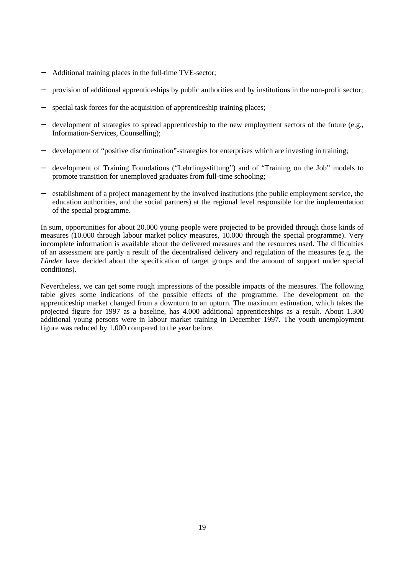- − Additional training places in the full-time TVE-sector;
- provision of additional apprenticeships by public authorities and by institutions in the non-profit sector;
- special task forces for the acquisition of apprenticeship training places;
- − development of strategies to spread apprenticeship to the new employment sectors of the future (e.g., Information-Services, Counselling);
- − development of "positive discrimination"-strategies for enterprises which are investing in training;
- − development of Training Foundations ("Lehrlingsstiftung") and of "Training on the Job" models to promote transition for unemployed graduates from full-time schooling;
- − establishment of a project management by the involved institutions (the public employment service, the education authorities, and the social partners) at the regional level responsible for the implementation of the special programme.

In sum, opportunities for about 20.000 young people were projected to be provided through those kinds of measures (10.000 through labour market policy measures, 10.000 through the special programme). Very incomplete information is available about the delivered measures and the resources used. The difficulties of an assessment are partly a result of the decentralised delivery and regulation of the measures (e.g. the *Länder* have decided about the specification of target groups and the amount of support under special conditions).

Nevertheless, we can get some rough impressions of the possible impacts of the measures. The following table gives some indications of the possible effects of the programme. The development on the apprenticeship market changed from a downturn to an upturn. The maximum estimation, which takes the projected figure for 1997 as a baseline, has 4.000 additional apprenticeships as a result. About 1.300 additional young persons were in labour market training in December 1997. The youth unemployment figure was reduced by 1.000 compared to the year before.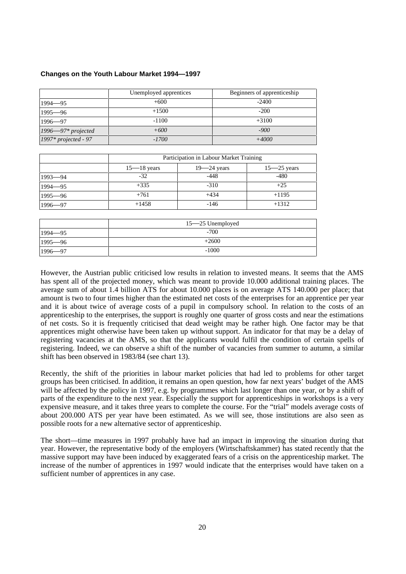## **Changes on the Youth Labour Market 1994—1997**

|                        | Unemployed apprentices | Beginners of apprenticeship |
|------------------------|------------------------|-----------------------------|
| $1994 - 95$            | $+600$                 | $-2400$                     |
| $1995 - 96$            | $+1500$                | $-200$                      |
| $1996 - 97$            | $-1100$                | $+3100$                     |
| $1996 - 97* projected$ | $+600$                 | $-900$                      |
| 1997* projected - 97   | $-1700$                | $+4000$                     |

|             | Participation in Labour Market Training |                 |                 |
|-------------|-----------------------------------------|-----------------|-----------------|
|             | $15 - 18$ years                         | $19 - 24$ years | $15 - 25$ years |
| $1993 - 94$ | $-32$                                   | $-448$          | $-480$          |
| $1994 - 95$ | $+335$                                  | $-310$          | $+25$           |
| $1995 - 96$ | $+761$                                  | $+434$          | $+1195$         |
| $1996 - 97$ | $+1458$                                 | $-146$          | $+1312$         |

|             | 15—25 Unemployed |
|-------------|------------------|
| $1994 - 95$ | $-700$           |
| $1995 - 96$ | $+2600$          |
| $1996 - 97$ | $-1000$          |

However, the Austrian public criticised low results in relation to invested means. It seems that the AMS has spent all of the projected money, which was meant to provide 10.000 additional training places. The average sum of about 1.4 billion ATS for about 10.000 places is on average ATS 140.000 per place; that amount is two to four times higher than the estimated net costs of the enterprises for an apprentice per year and it is about twice of average costs of a pupil in compulsory school. In relation to the costs of an apprenticeship to the enterprises, the support is roughly one quarter of gross costs and near the estimations of net costs. So it is frequently criticised that dead weight may be rather high. One factor may be that apprentices might otherwise have been taken up without support. An indicator for that may be a delay of registering vacancies at the AMS, so that the applicants would fulfil the condition of certain spells of registering. Indeed, we can observe a shift of the number of vacancies from summer to autumn, a similar shift has been observed in 1983/84 (see chart 13).

Recently, the shift of the priorities in labour market policies that had led to problems for other target groups has been criticised. In addition, it remains an open question, how far next years' budget of the AMS will be affected by the policy in 1997, e.g. by programmes which last longer than one year, or by a shift of parts of the expenditure to the next year. Especially the support for apprenticeships in workshops is a very expensive measure, and it takes three years to complete the course. For the "trial" models average costs of about 200.000 ATS per year have been estimated. As we will see, those institutions are also seen as possible roots for a new alternative sector of apprenticeship.

The short—time measures in 1997 probably have had an impact in improving the situation during that year. However, the representative body of the employers (Wirtschaftskammer) has stated recently that the massive support may have been induced by exaggerated fears of a crisis on the apprenticeship market. The increase of the number of apprentices in 1997 would indicate that the enterprises would have taken on a sufficient number of apprentices in any case.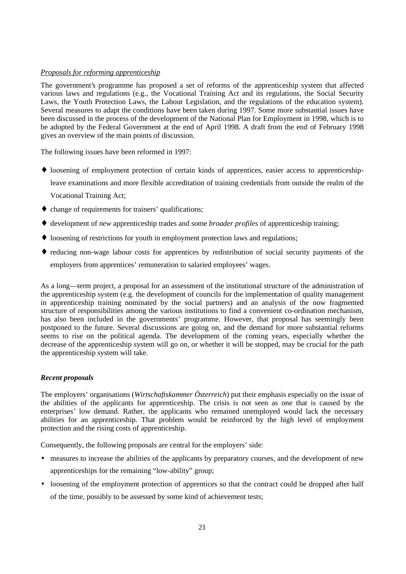## *Proposals for reforming apprenticeship*

The government's programme has proposed a set of reforms of the apprenticeship system that affected various laws and regulations (e.g., the Vocational Training Act and its regulations, the Social Security Laws, the Youth Protection Laws, the Labour Legislation, and the regulations of the education system). Several measures to adapt the conditions have been taken during 1997. Some more substantial issues have been discussed in the process of the development of the National Plan for Employment in 1998, which is to be adopted by the Federal Government at the end of April 1998. A draft from the end of February 1998 gives an overview of the main points of discussion.

The following issues have been reformed in 1997:

- ♦ loosening of employment protection of certain kinds of apprentices, easier access to apprenticeshipleave examinations and more flexible accreditation of training credentials from outside the realm of the Vocational Training Act;
- ♦ change of requirements for trainers' qualifications;
- ♦ development of *new* apprenticeship trades and some *broader profiles* of apprenticeship training;
- ♦ loosening of restrictions for youth in employment protection laws and regulations;
- ♦ reducing non-wage labour costs for apprentices by redistribution of social security payments of the employers from apprentices' remuneration to salaried employees' wages.

As a long—term project, a proposal for an assessment of the institutional structure of the administration of the apprenticeship system (e.g. the development of councils for the implementation of quality management in apprenticeship training nominated by the social partners) and an analysis of the now fragmented structure of responsibilities among the various institutions to find a convenient co-ordination mechanism, has also been included in the governments' programme. However, that proposal has seemingly been postponed to the future. Several discussions are going on, and the demand for more substantial reforms seems to rise on the political agenda. The development of the coming years, especially whether the decrease of the apprenticeship system will go on, or whether it will be stopped, may be crucial for the path the apprenticeship system will take.

## *Recent proposals*

The employers' organisations (*Wirtschaftskammer Österreich*) put their emphasis especially on the issue of the abilities of the applicants for apprenticeship. The crisis is not seen as one that is caused by the enterprises' low demand. Rather, the applicants who remained unemployed would lack the necessary abilities for an apprenticeship. That problem would be reinforced by the high level of employment protection and the rising costs of apprenticeship.

Consequently, the following proposals are central for the employers' side:

- measures to increase the abilities of the applicants by preparatory courses, and the development of new apprenticeships for the remaining "low-ability" group;
- loosening of the employment protection of apprentices so that the contract could be dropped after half of the time, possibly to be assessed by some kind of achievement tests;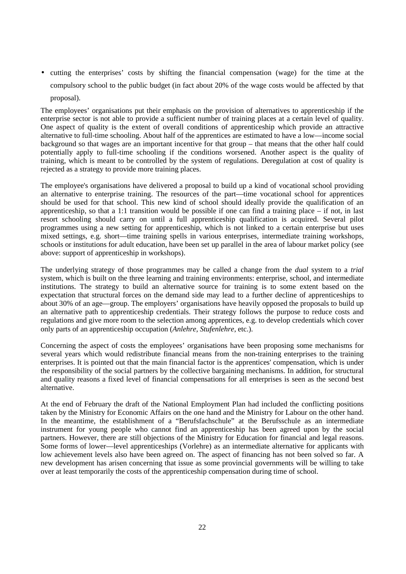• cutting the enterprises' costs by shifting the financial compensation (wage) for the time at the compulsory school to the public budget (in fact about 20% of the wage costs would be affected by that proposal).

The employees' organisations put their emphasis on the provision of alternatives to apprenticeship if the enterprise sector is not able to provide a sufficient number of training places at a certain level of quality. One aspect of quality is the extent of overall conditions of apprenticeship which provide an attractive alternative to full-time schooling. About half of the apprentices are estimated to have a low—income social background so that wages are an important incentive for that group – that means that the other half could potentially apply to full-time schooling if the conditions worsened. Another aspect is the quality of training, which is meant to be controlled by the system of regulations. Deregulation at cost of quality is rejected as a strategy to provide more training places.

The employee's organisations have delivered a proposal to build up a kind of vocational school providing an alternative to enterprise training. The resources of the part—time vocational school for apprentices should be used for that school. This new kind of school should ideally provide the qualification of an apprenticeship, so that a 1:1 transition would be possible if one can find a training place – if not, in last resort schooling should carry on until a full apprenticeship qualification is acquired. Several pilot programmes using a new setting for apprenticeship, which is not linked to a certain enterprise but uses mixed settings, e.g. short—time training spells in various enterprises, intermediate training workshops, schools or institutions for adult education, have been set up parallel in the area of labour market policy (see above: support of apprenticeship in workshops).

The underlying strategy of those programmes may be called a change from the *dual* system to a *trial* system, which is built on the three learning and training environments: enterprise, school, and intermediate institutions. The strategy to build an alternative source for training is to some extent based on the expectation that structural forces on the demand side may lead to a further decline of apprenticeships to about 30% of an age—group. The employers' organisations have heavily opposed the proposals to build up an alternative path to apprenticeship credentials. Their strategy follows the purpose to reduce costs and regulations and give more room to the selection among apprentices, e.g. to develop credentials which cover only parts of an apprenticeship occupation (*Anlehre, Stufenlehre*, etc.).

Concerning the aspect of costs the employees' organisations have been proposing some mechanisms for several years which would redistribute financial means from the non-training enterprises to the training enterprises. It is pointed out that the main financial factor is the apprentices' compensation, which is under the responsibility of the social partners by the collective bargaining mechanisms. In addition, for structural and quality reasons a fixed level of financial compensations for all enterprises is seen as the second best alternative.

At the end of February the draft of the National Employment Plan had included the conflicting positions taken by the Ministry for Economic Affairs on the one hand and the Ministry for Labour on the other hand. In the meantime, the establishment of a "Berufsfachschule" at the Berufsschule as an intermediate instrument for young people who cannot find an apprenticeship has been agreed upon by the social partners. However, there are still objections of the Ministry for Education for financial and legal reasons. Some forms of lower—level apprenticeships (Vorlehre) as an intermediate alternative for applicants with low achievement levels also have been agreed on. The aspect of financing has not been solved so far. A new development has arisen concerning that issue as some provincial governments will be willing to take over at least temporarily the costs of the apprenticeship compensation during time of school.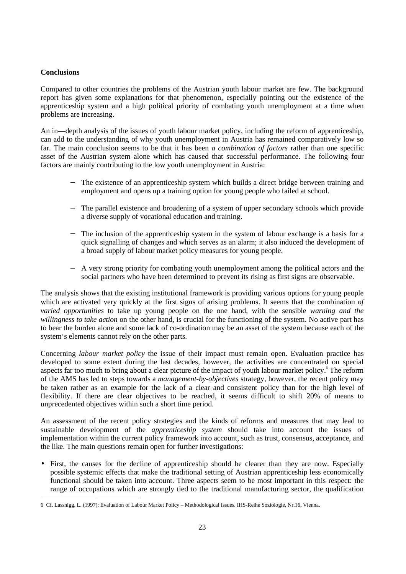## **Conclusions**

Compared to other countries the problems of the Austrian youth labour market are few. The background report has given some explanations for that phenomenon, especially pointing out the existence of the apprenticeship system and a high political priority of combating youth unemployment at a time when problems are increasing.

An in—depth analysis of the issues of youth labour market policy, including the reform of apprenticeship, can add to the understanding of why youth unemployment in Austria has remained comparatively low so far. The main conclusion seems to be that it has been *a combination of factors* rather than one specific asset of the Austrian system alone which has caused that successful performance. The following four factors are mainly contributing to the low youth unemployment in Austria:

- The existence of an apprenticeship system which builds a direct bridge between training and employment and opens up a training option for young people who failed at school.
- The parallel existence and broadening of a system of upper secondary schools which provide a diverse supply of vocational education and training.
- − The inclusion of the apprenticeship system in the system of labour exchange is a basis for a quick signalling of changes and which serves as an alarm; it also induced the development of a broad supply of labour market policy measures for young people.
- − A very strong priority for combating youth unemployment among the political actors and the social partners who have been determined to prevent its rising as first signs are observable.

The analysis shows that the existing institutional framework is providing various options for young people which are activated very quickly at the first signs of arising problems. It seems that the combination *of varied opportunities* to take up young people on the one hand, with the sensible *warning and the willingness to take action* on the other hand, is crucial for the functioning of the system. No active part has to bear the burden alone and some lack of co-ordination may be an asset of the system because each of the system's elements cannot rely on the other parts.

Concerning *labour market policy* the issue of their impact must remain open. Evaluation practice has developed to some extent during the last decades, however, the activities are concentrated on special aspects far too much to bring about a clear picture of the impact of youth labour market policy.<sup>6</sup> The reform of the AMS has led to steps towards a *management-by-objectives* strategy, however, the recent policy may be taken rather as an example for the lack of a clear and consistent policy than for the high level of flexibility. If there are clear objectives to be reached, it seems difficult to shift 20% of means to unprecedented objectives within such a short time period.

An assessment of the recent policy strategies and the kinds of reforms and measures that may lead to sustainable development of the *apprenticeship system* should take into account the issues of implementation within the current policy framework into account, such as trust, consensus, acceptance, and the like. The main questions remain open for further investigations:

• First, the causes for the decline of apprenticeship should be clearer than they are now. Especially possible systemic effects that make the traditional setting of Austrian apprenticeship less economically functional should be taken into account. Three aspects seem to be most important in this respect: the range of occupations which are strongly tied to the traditional manufacturing sector, the qualification

 <sup>6</sup> Cf. Lassnigg, L. (1997): Evaluation of Labour Market Policy – Methodological Issues. IHS-Reihe Soziologie, Nr.16, Vienna.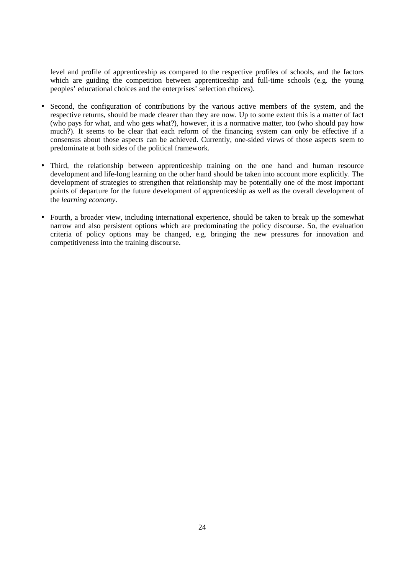level and profile of apprenticeship as compared to the respective profiles of schools, and the factors which are guiding the competition between apprenticeship and full-time schools (e.g. the young peoples' educational choices and the enterprises' selection choices).

- Second, the configuration of contributions by the various active members of the system, and the respective returns, should be made clearer than they are now. Up to some extent this is a matter of fact (who pays for what, and who gets what?), however, it is a normative matter, too (who should pay how much?). It seems to be clear that each reform of the financing system can only be effective if a consensus about those aspects can be achieved. Currently, one-sided views of those aspects seem to predominate at both sides of the political framework.
- Third, the relationship between apprenticeship training on the one hand and human resource development and life-long learning on the other hand should be taken into account more explicitly. The development of strategies to strengthen that relationship may be potentially one of the most important points of departure for the future development of apprenticeship as well as the overall development of the *learning economy*.
- Fourth, a broader view, including international experience, should be taken to break up the somewhat narrow and also persistent options which are predominating the policy discourse. So, the evaluation criteria of policy options may be changed, e.g. bringing the new pressures for innovation and competitiveness into the training discourse.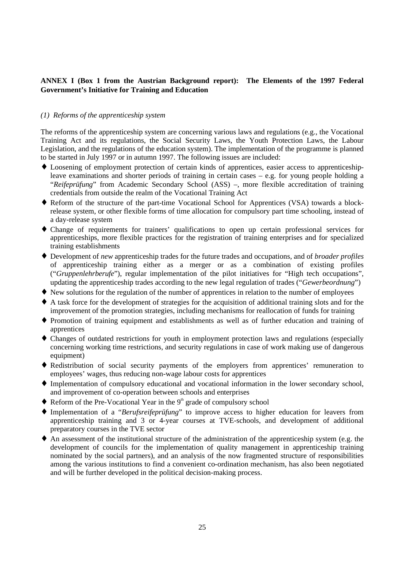## **ANNEX I (Box 1 from the Austrian Background report): The Elements of the 1997 Federal Government's Initiative for Training and Education**

#### *(1) Reforms of the apprenticeship system*

The reforms of the apprenticeship system are concerning various laws and regulations (e.g., the Vocational Training Act and its regulations, the Social Security Laws, the Youth Protection Laws, the Labour Legislation, and the regulations of the education system). The implementation of the programme is planned to be started in July 1997 or in autumn 1997. The following issues are included:

- ♦ Loosening of employment protection of certain kinds of apprentices, easier access to apprenticeshipleave examinations and shorter periods of training in certain cases – e.g. for young people holding a "*Reifeprüfung*" from Academic Secondary School (ASS) –, more flexible accreditation of training credentials from outside the realm of the Vocational Training Act
- ♦ Reform of the structure of the part-time Vocational School for Apprentices (VSA) towards a blockrelease system, or other flexible forms of time allocation for compulsory part time schooling, instead of a day-release system
- ♦ Change of requirements for trainers' qualifications to open up certain professional services for apprenticeships, more flexible practices for the registration of training enterprises and for specialized training establishments
- ♦ Development of *new* apprenticeship trades for the future trades and occupations, and of *broader profiles* of apprenticeship training either as a merger or as a combination of existing profiles ("*Gruppenlehrberufe*"), regular implementation of the pilot initiatives for "High tech occupations", updating the apprenticeship trades according to the new legal regulation of trades ("*Gewerbeordnung*")
- ♦ New solutions for the regulation of the number of apprentices in relation to the number of employees
- ♦ A task force for the development of strategies for the acquisition of additional training slots and for the improvement of the promotion strategies, including mechanisms for reallocation of funds for training
- ♦ Promotion of training equipment and establishments as well as of further education and training of apprentices
- ♦ Changes of outdated restrictions for youth in employment protection laws and regulations (especially concerning working time restrictions, and security regulations in case of work making use of dangerous equipment)
- ♦ Redistribution of social security payments of the employers from apprentices' remuneration to employees' wages, thus reducing non-wage labour costs for apprentices
- ♦ Implementation of compulsory educational and vocational information in the lower secondary school, and improvement of co-operation between schools and enterprises
- $\blacklozenge$  Reform of the Pre-Vocational Year in the  $9<sup>th</sup>$  grade of compulsory school
- ♦ Implementation of a "*Berufsreifeprüfung*" to improve access to higher education for leavers from apprenticeship training and 3 or 4-year courses at TVE-schools, and development of additional preparatory courses in the TVE sector
- ♦ An assessment of the institutional structure of the administration of the apprenticeship system (e.g. the development of councils for the implementation of quality management in apprenticeship training nominated by the social partners), and an analysis of the now fragmented structure of responsibilities among the various institutions to find a convenient co-ordination mechanism, has also been negotiated and will be further developed in the political decision-making process.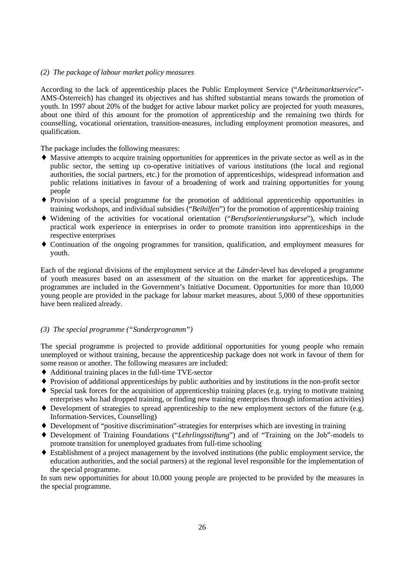## *(2) The package of labour market policy measures*

According to the lack of apprenticeship places the Public Employment Service ("*Arbeitsmarktservice*"- AMS-Österreich) has changed its objectives and has shifted substantial means towards the promotion of youth. In 1997 about 20% of the budget for active labour market policy are projected for youth measures, about one third of this amount for the promotion of apprenticeship and the remaining two thirds for counselling, vocational orientation, transition-measures, including employment promotion measures, and qualification.

The package includes the following measures:

- ♦ Massive attempts to acquire training opportunities for apprentices in the private sector as well as in the public sector, the setting up co-operative initiatives of various institutions (the local and regional authorities, the social partners, etc.) for the promotion of apprenticeships, widespread information and public relations initiatives in favour of a broadening of work and training opportunities for young people
- ♦ Provision of a special programme for the promotion of additional apprenticeship opportunities in training workshops, and individual subsidies ("*Beihilfen*") for the promotion of apprenticeship training
- ♦ Widening of the activities for vocational orientation ("*Berufsorientierungskurse*"), which include practical work experience in enterprises in order to promote transition into apprenticeships in the respective enterprises
- ♦ Continuation of the ongoing programmes for transition, qualification, and employment measures for youth.

Each of the regional divisions of the employment service at the *Länder*-level has developed a programme of youth measures based on an assessment of the situation on the market for apprenticeships. The programmes are included in the Government's Initiative Document. Opportunities for more than 10,000 young people are provided in the package for labour market measures, about 5,000 of these opportunities have been realized already.

## *(3) The special programme ("Sonderprogramm")*

The special programme is projected to provide additional opportunities for young people who remain unemployed or without training, because the apprenticeship package does not work in favour of them for some reason or another. The following measures are included:

- ♦ Additional training places in the full-time TVE-sector
- ♦ Provision of additional apprenticeships by public authorities and by institutions in the non-profit sector
- ♦ Special task forces for the acquisition of apprenticeship training places (e.g. trying to motivate training enterprises who had dropped training, or finding new training enterprises through information activities)
- ♦ Development of strategies to spread apprenticeship to the new employment sectors of the future (e.g. Information-Services, Counselling)
- ♦ Development of "positive discrimination"-strategies for enterprises which are investing in training
- ♦ Development of Training Foundations ("*Lehrlingsstiftung*") and of "Training on the Job"-models to promote transition for unemployed graduates from full-time schooling
- ♦ Establishment of a project management by the involved institutions (the public employment service, the education authorities, and the social partners) at the regional level responsible for the implementation of the special programme.

In sum new opportunities for about 10.000 young people are projected to be provided by the measures in the special programme.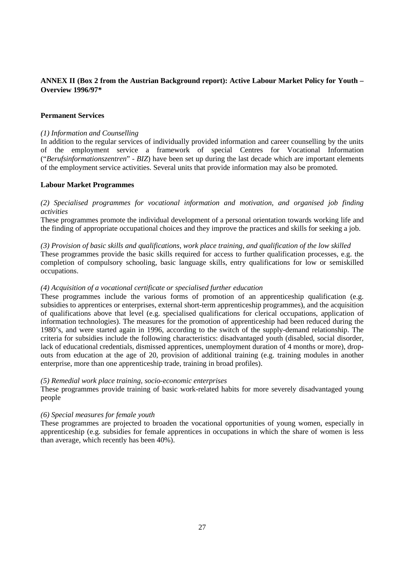## **ANNEX II (Box 2 from the Austrian Background report): Active Labour Market Policy for Youth – Overview 1996/97\***

## **Permanent Services**

#### *(1) Information and Counselling*

In addition to the regular services of individually provided information and career counselling by the units of the employment service a framework of special Centres for Vocational Information ("*Berufsinformationszentren*" - *BIZ*) have been set up during the last decade which are important elements of the employment service activities. Several units that provide information may also be promoted.

## **Labour Market Programmes**

*(2) Specialised programmes for vocational information and motivation, and organised job finding activities*

These programmes promote the individual development of a personal orientation towards working life and the finding of appropriate occupational choices and they improve the practices and skills for seeking a job.

*(3) Provision of basic skills and qualifications, work place training, and qualification of the low skilled* These programmes provide the basic skills required for access to further qualification processes, e.g. the

completion of compulsory schooling, basic language skills, entry qualifications for low or semiskilled occupations.

## *(4) Acquisition of a vocational certificate or specialised further education*

These programmes include the various forms of promotion of an apprenticeship qualification (e.g. subsidies to apprentices or enterprises, external short-term apprenticeship programmes), and the acquisition of qualifications above that level (e.g. specialised qualifications for clerical occupations, application of information technologies). The measures for the promotion of apprenticeship had been reduced during the 1980's, and were started again in 1996, according to the switch of the supply-demand relationship. The criteria for subsidies include the following characteristics: disadvantaged youth (disabled, social disorder, lack of educational credentials, dismissed apprentices, unemployment duration of 4 months or more), dropouts from education at the age of 20, provision of additional training (e.g. training modules in another enterprise, more than one apprenticeship trade, training in broad profiles).

#### *(5) Remedial work place training, socio-economic enterprises*

These programmes provide training of basic work-related habits for more severely disadvantaged young people

#### *(6) Special measures for female youth*

These programmes are projected to broaden the vocational opportunities of young women, especially in apprenticeship (e.g. subsidies for female apprentices in occupations in which the share of women is less than average, which recently has been 40%).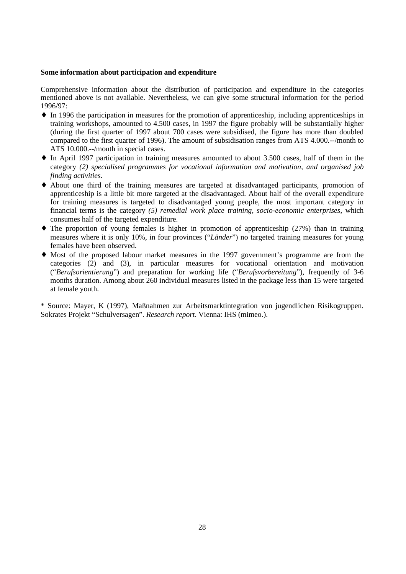#### **Some information about participation and expenditure**

Comprehensive information about the distribution of participation and expenditure in the categories mentioned above is not available. Nevertheless, we can give some structural information for the period 1996/97:

- ♦ In 1996 the participation in measures for the promotion of apprenticeship, including apprenticeships in training workshops, amounted to 4.500 cases, in 1997 the figure probably will be substantially higher (during the first quarter of 1997 about 700 cases were subsidised, the figure has more than doubled compared to the first quarter of 1996). The amount of subsidisation ranges from ATS 4.000.--/month to ATS 10.000.--/month in special cases.
- ♦ In April 1997 participation in training measures amounted to about 3.500 cases, half of them in the category *(2) specialised programmes for vocational information and motivation, and organised job finding activities*.
- ♦ About one third of the training measures are targeted at disadvantaged participants, promotion of apprenticeship is a little bit more targeted at the disadvantaged. About half of the overall expenditure for training measures is targeted to disadvantaged young people, the most important category in financial terms is the category *(5) remedial work place training, socio-economic enterprises*, which consumes half of the targeted expenditure.
- $\blacklozenge$  The proportion of young females is higher in promotion of apprenticeship (27%) than in training measures where it is only 10%, in four provinces ("*Länder*") no targeted training measures for young females have been observed.
- ♦ Most of the proposed labour market measures in the 1997 government's programme are from the categories (2) and (3), in particular measures for vocational orientation and motivation ("*Berufsorientierung*") and preparation for working life ("*Berufsvorbereitung*"), frequently of 3-6 months duration. Among about 260 individual measures listed in the package less than 15 were targeted at female youth.

\* Source: Mayer, K (1997), Maßnahmen zur Arbeitsmarktintegration von jugendlichen Risikogruppen. Sokrates Projekt "Schulversagen". *Research report*. Vienna: IHS (mimeo.).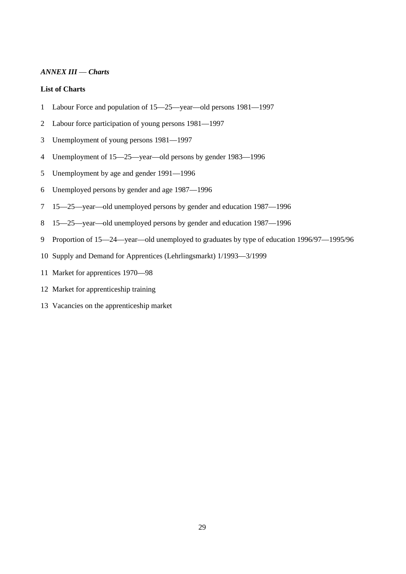## *ANNEX III* — *Charts*

## **List of Charts**

- 1 Labour Force and population of 15—25—year—old persons 1981—1997
- 2 Labour force participation of young persons 1981—1997
- 3 Unemployment of young persons 1981—1997
- 4 Unemployment of 15—25—year—old persons by gender 1983—1996
- 5 Unemployment by age and gender 1991—1996
- 6 Unemployed persons by gender and age 1987—1996
- 7 15—25—year—old unemployed persons by gender and education 1987—1996
- 8 15—25—year—old unemployed persons by gender and education 1987—1996
- 9 Proportion of 15—24—year—old unemployed to graduates by type of education 1996/97—1995/96
- 10 Supply and Demand for Apprentices (Lehrlingsmarkt) 1/1993—3/1999
- 11 Market for apprentices 1970—98
- 12 Market for apprenticeship training
- 13 Vacancies on the apprenticeship market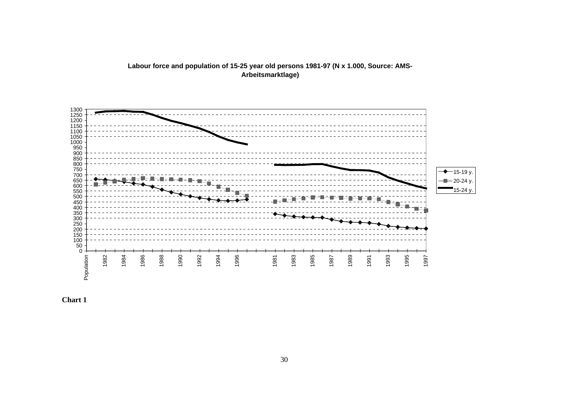

**Labour force and population of 15-25 year old persons 1981-97 (N x 1.000, Source: AMS-Arbeitsmarktlage)**

**Chart 1**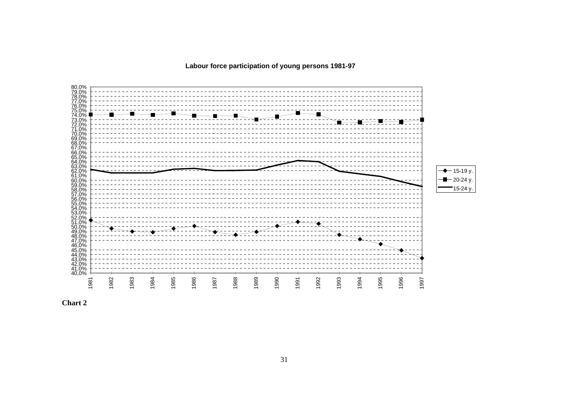**Labour force participation of young persons 1981-97**



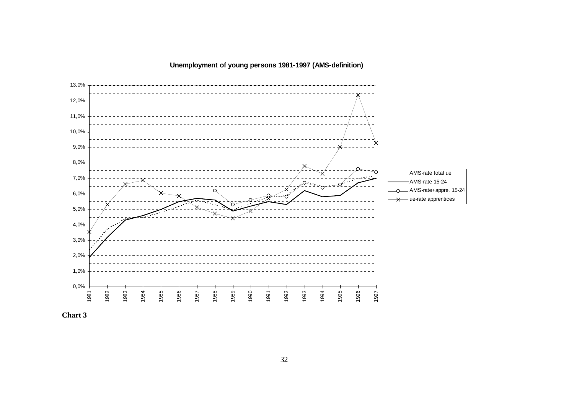## **Unemployment of young persons 1981-1997 (AMS-definition)**



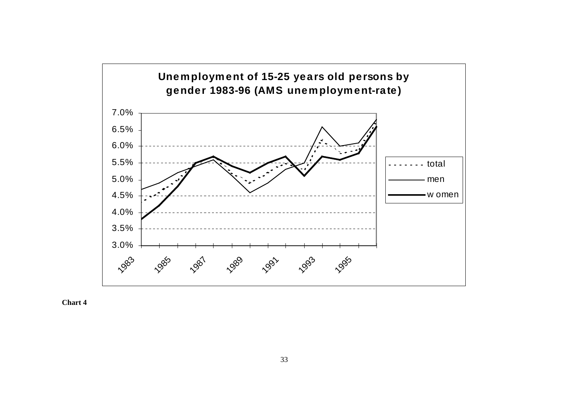

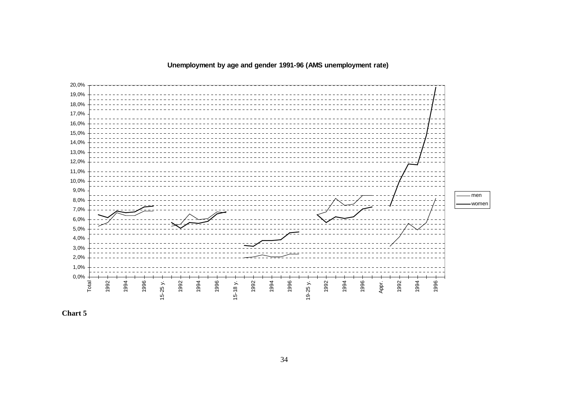## **Unemployment by age and gender 1991-96 (AMS unemployment rate)**



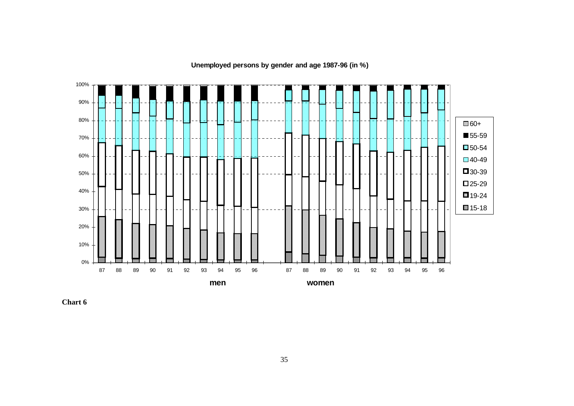0%10% 20% 30% 40% 50% 60% 70% 80% 90% 100% 87 88 89 90 91 92 93 94 95 96 87 88 89 90 91 92 93 94 95 9696 **men women** 60+ 55-59 50-54 40-49 30-39  $\square$  25-29 19-24 15-18

**Unemployed persons by gender and age 1987-96 (in %)**

**Chart 6**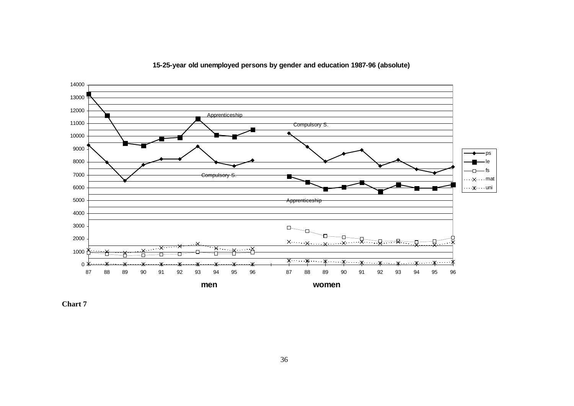

## **15-25-year old unemployed persons by gender and education 1987-96 (absolute)**

**Chart 7**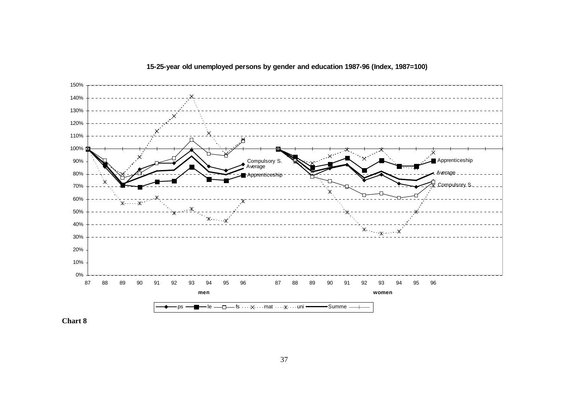

**15-25-year old unemployed persons by gender and education 1987-96 (Index, 1987=100)** 

**Chart 8**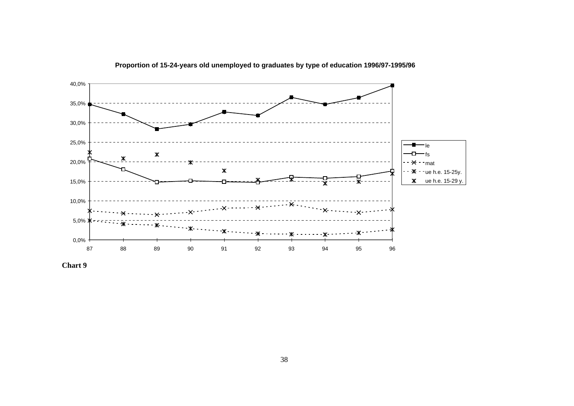

**Proportion of 15-24-years old unemployed to graduates by type of education 1996/97-1995/96** 

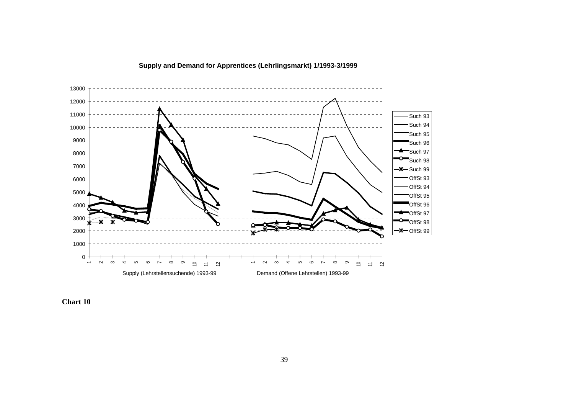



**Chart 10**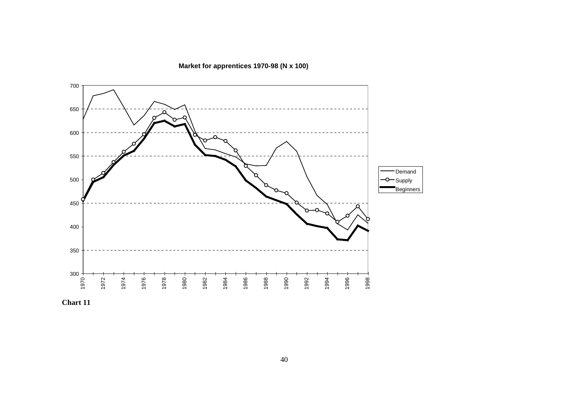**Market for apprentices 1970-98 (N x 100)**



**Chart 11**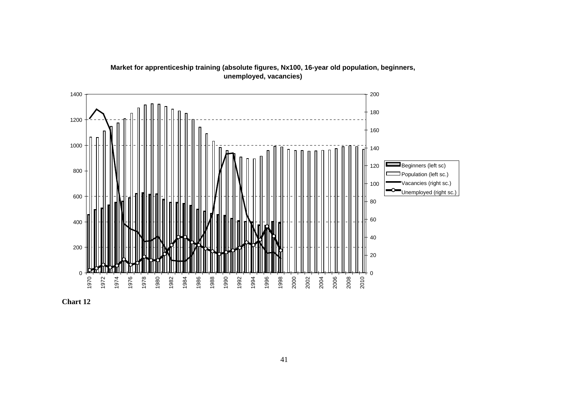

**Market for apprenticeship training (absolute figures, Nx100, 16-year old population, beginners, unemployed, vacancies)**